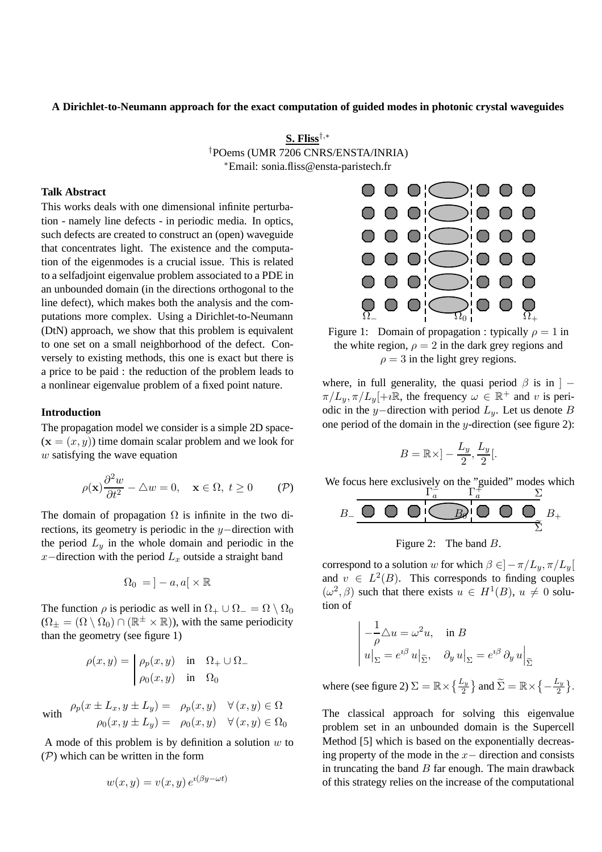## **A Dirichlet-to-Neumann approach for the exact computation of guided modes in photonic crystal waveguides**

**S. Fliss**†,<sup>∗</sup> †POems (UMR 7206 CNRS/ENSTA/INRIA) <sup>∗</sup>Email: sonia.fliss@ensta-paristech.fr

# **Talk Abstract**

This works deals with one dimensional infinite perturbation - namely line defects - in periodic media. In optics, such defects are created to construct an (open) waveguide that concentrates light. The existence and the computation of the eigenmodes is a crucial issue. This is related to a selfadjoint eigenvalue problem associated to a PDE in an unbounded domain (in the directions orthogonal to the line defect), which makes both the analysis and the computations more complex. Using a Dirichlet-to-Neumann (DtN) approach, we show that this problem is equivalent to one set on a small neighborhood of the defect. Conversely to existing methods, this one is exact but there is a price to be paid : the reduction of the problem leads to a nonlinear eigenvalue problem of a fixed point nature.

#### **Introduction**

The propagation model we consider is a simple 2D space-  $(\mathbf{x} = (x, y))$  time domain scalar problem and we look for  $w$  satisfying the wave equation

$$
\rho(\mathbf{x})\frac{\partial^2 w}{\partial t^2} - \triangle w = 0, \quad \mathbf{x} \in \Omega, \ t \ge 0 \tag{P}
$$

The domain of propagation  $\Omega$  is infinite in the two directions, its geometry is periodic in the y−direction with the period  $L_y$  in the whole domain and periodic in the x−direction with the period  $L_x$  outside a straight band

$$
\Omega_0 = \, ]-a,a[ \times \mathbb{R}
$$

The function  $\rho$  is periodic as well in  $\Omega_+ \cup \Omega_- = \Omega \setminus \Omega_0$  $(\Omega_{\pm} = (\Omega \setminus \Omega_0) \cap (\mathbb{R}^{\pm} \times \mathbb{R})$ , with the same periodicity than the geometry (see figure 1)

$$
\rho(x,y) = \begin{vmatrix} \rho_p(x,y) & \text{in} & \Omega_+ \cup \Omega_- \\ \rho_0(x,y) & \text{in} & \Omega_0 \end{vmatrix}
$$

with 
$$
\rho_p(x \pm L_x, y \pm L_y) = \rho_p(x, y) \quad \forall (x, y) \in \Omega
$$
  

$$
\rho_0(x, y \pm L_y) = \rho_0(x, y) \quad \forall (x, y) \in \Omega_0
$$

A mode of this problem is by definition a solution  $w$  to  $(\mathcal{P})$  which can be written in the form

$$
w(x, y) = v(x, y) e^{i(\beta y - \omega t)}
$$



Figure 1: Domain of propagation : typically  $\rho = 1$  in the white region,  $\rho = 2$  in the dark grey regions and  $\rho = 3$  in the light grey regions.

where, in full generality, the quasi period  $\beta$  is in  $] \pi/L_y, \pi/L_y[+i\mathbb{R}$ , the frequency  $\omega \in \mathbb{R}^+$  and v is periodic in the y−direction with period  $L_y$ . Let us denote B one period of the domain in the  $y$ -direction (see figure 2):

$$
B = \mathbb{R} \times ] - \frac{L_y}{2}, \frac{L_y}{2} [.
$$

We focus here exclusively on the "guided" modes which  $\Gamma_a^2$   $\Gamma_a^2$   $\Sigma_a$ 



Figure 2: The band B.

correspond to a solution w for which  $\beta \in ]-\pi/L_y, \pi/L_y[$ and  $v \in L^2(B)$ . This corresponds to finding couples  $(\omega^2, \beta)$  such that there exists  $u \in H^1(B)$ ,  $u \neq 0$  solution of

$$
\begin{vmatrix} -\frac{1}{\rho} \Delta u = \omega^2 u, & \text{in } B \\ u|_{\Sigma} = e^{i\beta} u|_{\widetilde{\Sigma}}, & \partial_y u|_{\Sigma} = e^{i\beta} \partial_y u|_{\widetilde{\Sigma}}
$$

where (see figure 2)  $\Sigma = \mathbb{R} \times \left\{\frac{L_y}{2}\right\}$  and  $\widetilde{\Sigma} = \mathbb{R} \times \left\{-\frac{L_y}{2}\right\}$  $\frac{L_y}{2}$ .

The classical approach for solving this eigenvalue problem set in an unbounded domain is the Supercell Method [5] which is based on the exponentially decreasing property of the mode in the  $x-$  direction and consists in truncating the band  $B$  far enough. The main drawback of this strategy relies on the increase of the computational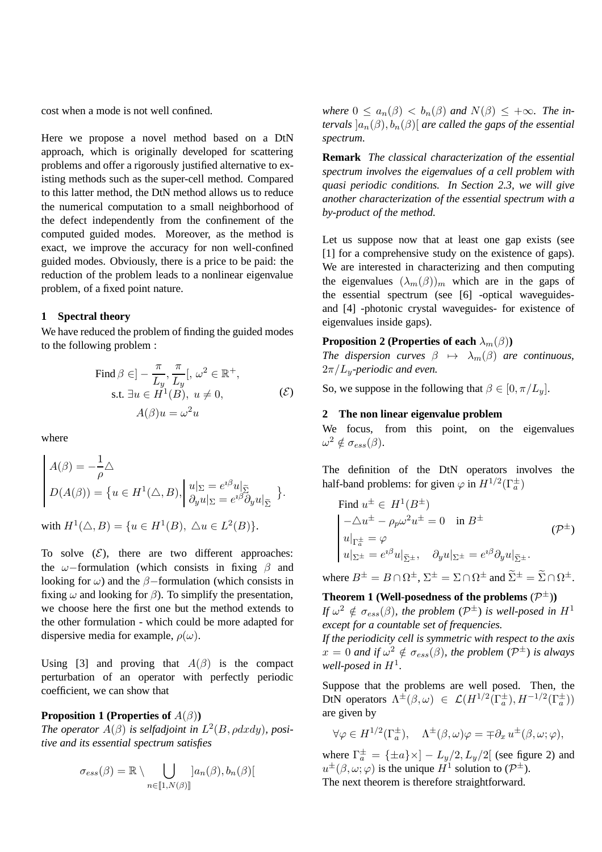cost when a mode is not well confined.

Here we propose a novel method based on a DtN approach, which is originally developed for scattering problems and offer a rigorously justified alternative to existing methods such as the super-cell method. Compared to this latter method, the DtN method allows us to reduce the numerical computation to a small neighborhood of the defect independently from the confinement of the computed guided modes. Moreover, as the method is exact, we improve the accuracy for non well-confined guided modes. Obviously, there is a price to be paid: the reduction of the problem leads to a nonlinear eigenvalue problem, of a fixed point nature.

# **1 Spectral theory**

We have reduced the problem of finding the guided modes to the following problem :

Find 
$$
\beta \in ] - \frac{\pi}{L_y}, \frac{\pi}{L_y}[, \omega^2 \in \mathbb{R}^+,
$$
  
s.t.  $\exists u \in H^1(B), u \neq 0,$   $(\mathcal{E})$   
 $A(\beta)u = \omega^2 u$ 

where

$$
\begin{cases}\nA(\beta) = -\frac{1}{\rho} \triangle \\
D(A(\beta)) = \{ u \in H^1(\triangle, B), \left| \begin{array}{l} u|_{\Sigma} = e^{i\beta} u|_{\widetilde{\Sigma}} \\ \partial_y u|_{\Sigma} = e^{i\beta} \partial_y u|_{\widetilde{\Sigma}} \end{array} \right. \}.\n\end{cases}
$$

with  $H^1(\triangle, B) = \{u \in H^1(B), \triangle u \in L^2(B)\}.$ 

To solve  $(\mathcal{E})$ , there are two different approaches: the  $\omega$ −formulation (which consists in fixing  $\beta$  and looking for  $\omega$ ) and the  $\beta$ -formulation (which consists in fixing  $\omega$  and looking for  $\beta$ ). To simplify the presentation, we choose here the first one but the method extends to the other formulation - which could be more adapted for dispersive media for example,  $\rho(\omega)$ .

Using [3] and proving that  $A(\beta)$  is the compact perturbation of an operator with perfectly periodic coefficient, we can show that

### **Proposition 1 (Properties of** A(β)**)**

*The operator*  $A(\beta)$  *is selfadjoint in*  $L^2(B, \rho dx dy)$ *, positive and its essential spectrum satisfies*

$$
\sigma_{ess}(\beta) = \mathbb{R} \setminus \bigcup_{n \in [\![1,N(\beta)]\!]} [a_n(\beta), b_n(\beta)[
$$

*where*  $0 \le a_n(\beta) < b_n(\beta)$  *and*  $N(\beta) \le +\infty$ *. The intervals*  $[a_n(\beta), b_n(\beta)]$  *are called the gaps of the essential spectrum.*

**Remark** *The classical characterization of the essential spectrum involves the eigenvalues of a cell problem with quasi periodic conditions. In Section 2.3, we will give another characterization of the essential spectrum with a by-product of the method.*

Let us suppose now that at least one gap exists (see [1] for a comprehensive study on the existence of gaps). We are interested in characterizing and then computing the eigenvalues  $(\lambda_m(\beta))_m$  which are in the gaps of the essential spectrum (see [6] -optical waveguidesand [4] -photonic crystal waveguides- for existence of eigenvalues inside gaps).

#### **Proposition 2 (Properties of each**  $\lambda_m(\beta)$ )

*The dispersion curves*  $\beta \mapsto \lambda_m(\beta)$  *are continuous,* 2π/Ly*-periodic and even.*

So, we suppose in the following that  $\beta \in [0, \pi/L_u]$ .

#### **2 The non linear eigenvalue problem**

We focus, from this point, on the eigenvalues  $\omega^2 \notin \sigma_{ess}(\beta).$ 

The definition of the DtN operators involves the half-band problems: for given  $\varphi$  in  $H^{1/2}(\Gamma_a^{\pm})$ 

Find 
$$
u^{\pm} \in H^1(B^{\pm})
$$
  
\n
$$
\begin{vmatrix}\n-\Delta u^{\pm} - \rho_p \omega^2 u^{\pm} = 0 & \text{in } B^{\pm} \\
u|_{\Gamma_a^{\pm}} = \varphi & & (\mathcal{P}^{\pm}) \\
u|_{\Sigma^{\pm}} = e^{i\beta} u|_{\tilde{\Sigma}^{\pm}}, & \partial_y u|_{\Sigma^{\pm}} = e^{i\beta} \partial_y u|_{\tilde{\Sigma}^{\pm}}.\n\end{vmatrix}
$$

where  $B^{\pm} = B \cap \Omega^{\pm}$ ,  $\Sigma^{\pm} = \Sigma \cap \Omega^{\pm}$  and  $\widetilde{\Sigma}^{\pm} = \widetilde{\Sigma} \cap \Omega^{\pm}$ .

**Theorem 1 (Well-posedness of the problems**  $(\mathcal{P}^{\pm})$ **)** 

*If*  $\omega^2 \notin \sigma_{ess}(\beta)$ , the problem  $(\mathcal{P}^{\pm})$  is well-posed in  $H^1$ *except for a countable set of frequencies.*

*If the periodicity cell is symmetric with respect to the axis*  $x = 0$  and if  $\omega^2 \notin \sigma_{ess}(\beta)$ , the problem  $(\mathcal{P}^{\pm})$  is always well-posed in  $H^1$ .

Suppose that the problems are well posed. Then, the DtN operators  $\Lambda^{\pm}(\beta,\omega) \in \mathcal{L}(H^{1/2}(\Gamma_a^{\pm}), H^{-1/2}(\Gamma_a^{\pm}))$ are given by

$$
\forall \varphi \in H^{1/2}(\Gamma_a^{\pm}), \quad \Lambda^{\pm}(\beta,\omega)\varphi = \mp \partial_x u^{\pm}(\beta,\omega;\varphi),
$$

where  $\Gamma_a^{\pm} = {\pm a} \times -L_y/2, L_y/2$  (see figure 2) and  $u^{\pm}(\beta,\omega;\varphi)$  is the unique  $H^1$  solution to  $(\mathcal{P}^{\pm})$ . The next theorem is therefore straightforward.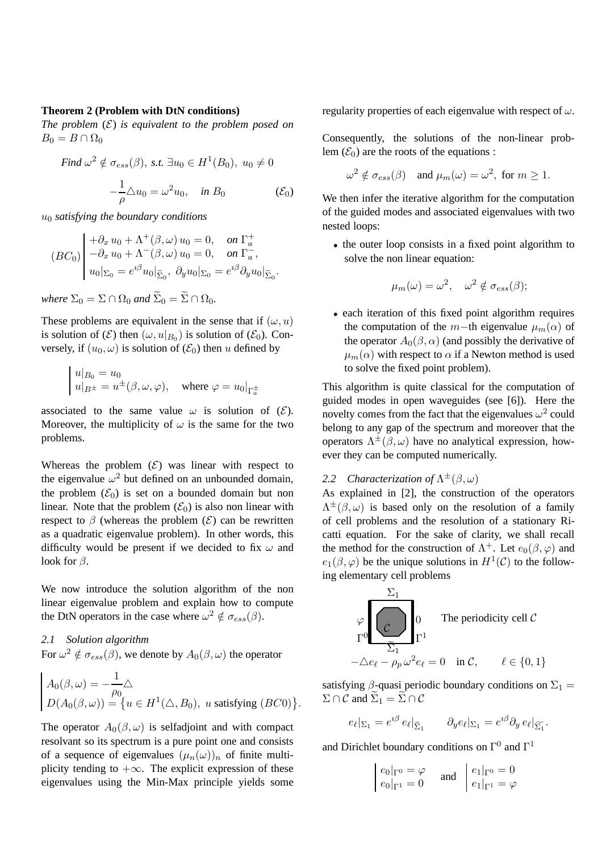#### **Theorem 2 (Problem with DtN conditions)**

*The problem*  $(E)$  *is equivalent to the problem posed on*  $B_0 = B \cap \Omega_0$ 

Find 
$$
\omega^2 \notin \sigma_{ess}(\beta)
$$
, s.t.  $\exists u_0 \in H^1(B_0)$ ,  $u_0 \neq 0$   

$$
-\frac{1}{\rho} \triangle u_0 = \omega^2 u_0, \quad \text{in } B_0 \quad (\mathcal{E}_0)
$$

u<sup>0</sup> *satisfying the boundary conditions*

$$
(BC_0)\begin{vmatrix} +\partial_x u_0 + \Lambda^+(\beta,\omega) u_0 = 0, & \text{on } \Gamma_a^+ \\ -\partial_x u_0 + \Lambda^-(\beta,\omega) u_0 = 0, & \text{on } \Gamma_a^-, \\ u_0|_{\Sigma_0} = e^{i\beta} u_0|_{\widetilde{\Sigma}_0}, & \partial_y u_0|_{\Sigma_0} = e^{i\beta} \partial_y u_0|_{\widetilde{\Sigma}_0}.\end{vmatrix}
$$

*where*  $\Sigma_0 = \Sigma \cap \Omega_0$  *and*  $\widetilde{\Sigma}_0 = \widetilde{\Sigma} \cap \Omega_0$ *.* 

These problems are equivalent in the sense that if  $(\omega, u)$ is solution of  $(\mathcal{E})$  then  $(\omega, u|_{B_0})$  is solution of  $(\mathcal{E}_0)$ . Conversely, if  $(u_0, \omega)$  is solution of  $(\mathcal{E}_0)$  then u defined by

$$
\begin{cases} u|_{B_0} = u_0 \\ u|_{B^\pm} = u^\pm(\beta, \omega, \varphi), \quad \text{where } \varphi = u_0|_{\Gamma_a^\pm} \end{cases}
$$

associated to the same value  $\omega$  is solution of  $(\mathcal{E})$ . Moreover, the multiplicity of  $\omega$  is the same for the two problems.

Whereas the problem  $(\mathcal{E})$  was linear with respect to the eigenvalue  $\omega^2$  but defined on an unbounded domain, the problem  $(\mathcal{E}_0)$  is set on a bounded domain but non linear. Note that the problem  $(\mathcal{E}_0)$  is also non linear with respect to  $\beta$  (whereas the problem  $(\mathcal{E})$  can be rewritten as a quadratic eigenvalue problem). In other words, this difficulty would be present if we decided to fix  $\omega$  and look for  $\beta$ .

We now introduce the solution algorithm of the non linear eigenvalue problem and explain how to compute the DtN operators in the case where  $\omega^2 \notin \sigma_{ess}(\beta)$ .

# *2.1 Solution algorithm*

For  $\omega^2 \notin \sigma_{ess}(\beta)$ , we denote by  $A_0(\beta,\omega)$  the operator

$$
\begin{aligned}\nA_0(\beta,\omega) &= -\frac{1}{\rho_0} \triangle \\
D(A_0(\beta,\omega)) &= \{ u \in H^1(\triangle, B_0), \ u \text{ satisfying } (BC0) \}.\n\end{aligned}
$$

The operator  $A_0(\beta,\omega)$  is selfadjoint and with compact resolvant so its spectrum is a pure point one and consists of a sequence of eigenvalues  $(\mu_n(\omega))_n$  of finite multiplicity tending to  $+\infty$ . The explicit expression of these eigenvalues using the Min-Max principle yields some

regularity properties of each eigenvalue with respect of  $\omega$ .

Consequently, the solutions of the non-linear problem  $(\mathcal{E}_0)$  are the roots of the equations :

$$
\omega^2 \notin \sigma_{ess}(\beta) \quad \text{and } \mu_m(\omega) = \omega^2, \text{ for } m \ge 1.
$$

We then infer the iterative algorithm for the computation of the guided modes and associated eigenvalues with two nested loops:

• the outer loop consists in a fixed point algorithm to solve the non linear equation:

$$
\mu_m(\omega) = \omega^2, \quad \omega^2 \notin \sigma_{ess}(\beta);
$$

• each iteration of this fixed point algorithm requires the computation of the m−th eigenvalue  $\mu_m(\alpha)$  of the operator  $A_0(\beta, \alpha)$  (and possibly the derivative of  $\mu_m(\alpha)$  with respect to  $\alpha$  if a Newton method is used to solve the fixed point problem).

This algorithm is quite classical for the computation of guided modes in open waveguides (see [6]). Here the novelty comes from the fact that the eigenvalues  $\omega^2$  could belong to any gap of the spectrum and moreover that the operators  $\Lambda^{\pm}(\beta,\omega)$  have no analytical expression, however they can be computed numerically.

# 2.2 Characterization of  $\Lambda^{\pm}(\beta,\omega)$

As explained in [2], the construction of the operators  $\Lambda^{\pm}(\beta,\omega)$  is based only on the resolution of a family of cell problems and the resolution of a stationary Ricatti equation. For the sake of clarity, we shall recall the method for the construction of  $\Lambda^+$ . Let  $e_0(\beta, \varphi)$  and  $e_1(\beta, \varphi)$  be the unique solutions in  $H^1(\mathcal{C})$  to the following elementary cell problems



satisfying  $\beta$ -quasi periodic boundary conditions on  $\Sigma_1$  =  $\Sigma \cap C$  and  $\widetilde{\Sigma}_1 = \widetilde{\Sigma} \cap C$ 

$$
e_{\ell} |_{\Sigma_1} = e^{i\beta} e_{\ell} |_{\widetilde{\Sigma}_1} \qquad \partial_y e_{\ell} |_{\Sigma_1} = e^{i\beta} \partial_y e_{\ell} |_{\widetilde{\Sigma}_1}.
$$

and Dirichlet boundary conditions on  $\Gamma^0$  and  $\Gamma^1$ 

$$
\begin{vmatrix} e_0|_{\Gamma^0} = \varphi \\ e_0|_{\Gamma^1} = 0 \end{vmatrix} \text{ and } \begin{vmatrix} e_1|_{\Gamma^0} = 0 \\ e_1|_{\Gamma^1} = \varphi \end{vmatrix}
$$